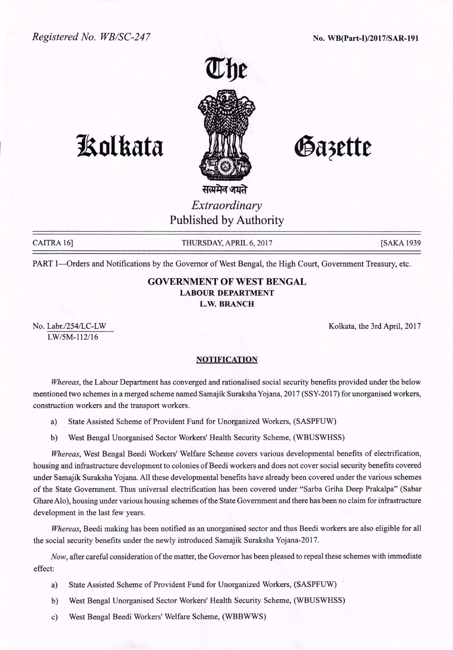

## **Kolkata ANI Gazette**

*Extraordinary* Published by Authority

CAITRA 16] THURSDAY, APRIL 6, 2017 [SAKA 1939]

PART I-Orders and Notifications by the Governor of West Bengal, the High Court, Government Treasury, etc.

## GOVERNMENT OF WEST BENGAL LABOUR DEPARTMENT L.W.BRANCH

No. Labr./254/LC-LW LW/SM-112/16

Kolkata, the 3rd April, 2017

## NOTIFICATION

*Whereas,* the Labour Department has converged and rationalised social security benefits provided under the below mentioned two schemes in a merged scheme named Samajik Suraksha Yojana, 2017 (SSY-2017) for unorganised workers, construction workers and the transport workers.

a) State Assisted Scheme of Provident Fund for Unorganized Workers, (SASPFUW)

b) West Bengal Unorganised Sector Workers' Health Security Scheme, (WBUSWHSS)

*Whereas,* West Bengal Beedi Workers' Welfare Scheme covers various developmental benefits of electrification, housing and infrastructure development to colonies of Beedi workers and does not cover social security benefits covered under Samajik Suraksha Yojana. All these developmental benefits have already been covered under the various schemes of the State Government. Thus universal electrification has been covered under "Sarba Griha Deep Prakalpa" (Sabar GhareAlo), housing under various housing schemes of the State Government and there has been no claim for infrastructure development in the last few years.

*Whereas,* Beedi making has been notified as an unorganised sector and thus Beedi workers are also eligible for all the social security benefits under the newly introduced Samajik Suraksha Yojana-20 17.

*.Now,* after careful consideration of the matter, the Governor has been pleased to repeal these schemes with immediate effect:

- a) State Assisted Scheme of Provident Fund for Unorganized Workers, (SASPFUW)
- b) West Bengal Unorganised Sector Workers' Health Security Scheme, (WBUSWHSS)
- c) West Bengal Beedi Workers' Welfare Scheme, (WBBWWS)